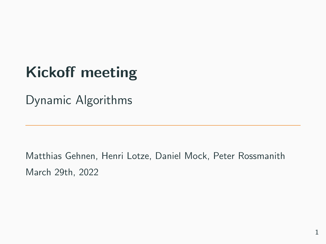# <span id="page-0-0"></span>Kickoff meeting

Dynamic Algorithms

Matthias Gehnen, Henri Lotze, Daniel Mock, Peter Rossmanith March 29th, 2022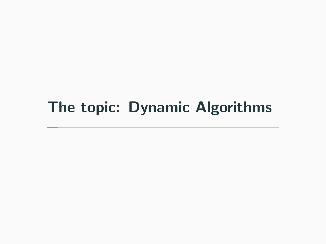## <span id="page-1-0"></span>[The topic: Dynamic Algorithms](#page-1-0)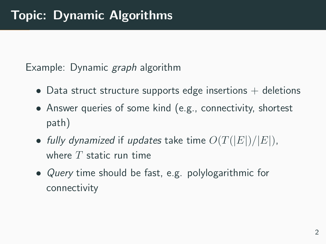Example: Dynamic *graph* algorithm

- Data struct structure supports edge insertions  $+$  deletions
- Answer queries of some kind (e.g., connectivity, shortest path)
- fully dynamized if updates take time  $O(T(|E|)/|E|)$ , where  $T$  static run time
- Query time should be fast, e.g. polylogarithmic for connectivity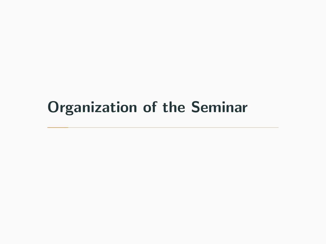### <span id="page-3-0"></span>[Organization of the Seminar](#page-3-0)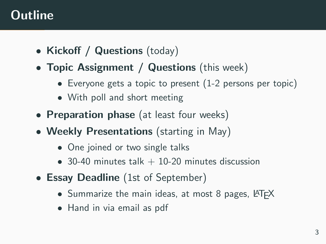#### **Outline**

- Kickoff / Questions (today)
- Topic Assignment / Questions (this week)
	- Everyone gets a topic to present (1-2 persons per topic)
	- With poll and short meeting
- Preparation phase (at least four weeks)
- Weekly Presentations (starting in May)
	- One joined or two single talks
	- 30-40 minutes talk  $+$  10-20 minutes discussion
- Essay Deadline (1st of September)
	- Summarize the main ideas, at most 8 pages, LATFX
	- Hand in via email as pdf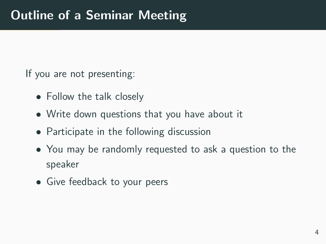If you are not presenting:

- Follow the talk closely
- Write down questions that you have about it
- Participate in the following discussion
- You may be randomly requested to ask a question to the speaker
- Give feedback to your peers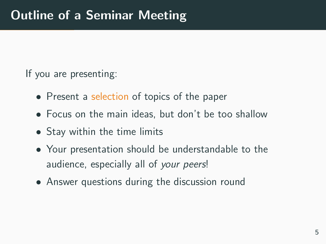If you are presenting:

- Present a selection of topics of the paper
- Focus on the main ideas, but don't be too shallow
- Stay within the time limits
- Your presentation should be understandable to the audience, especially all of your peers!
- Answer questions during the discussion round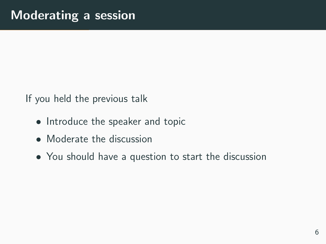If you held the previous talk

- Introduce the speaker and topic
- Moderate the discussion
- You should have a question to start the discussion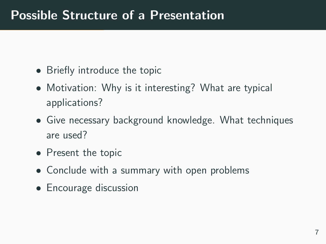#### Possible Structure of a Presentation

- Briefly introduce the topic
- Motivation: Why is it interesting? What are typical applications?
- Give necessary background knowledge. What techniques are used?
- Present the topic
- Conclude with a summary with open problems
- Encourage discussion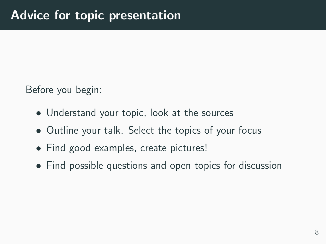Before you begin:

- Understand your topic, look at the sources
- Outline your talk. Select the topics of your focus
- Find good examples, create pictures!
- Find possible questions and open topics for discussion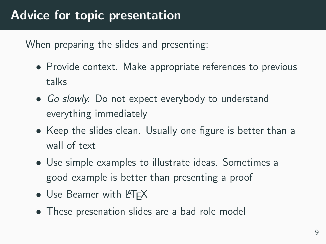When preparing the slides and presenting:

- Provide context. Make appropriate references to previous talks
- Go slowly. Do not expect everybody to understand everything immediately
- Keep the slides clean. Usually one figure is better than a wall of text
- Use simple examples to illustrate ideas. Sometimes a good example is better than presenting a proof
- Use Beamer with LAT<sub>E</sub>X
- These presenation slides are a bad role model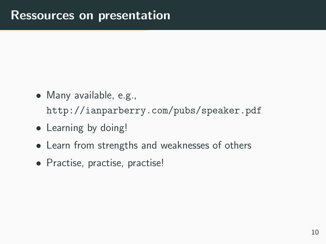- Many available, e.g., <http://ianparberry.com/pubs/speaker.pdf>
- Learning by doing!
- Learn from strengths and weaknesses of others
- Practise, practise, practise!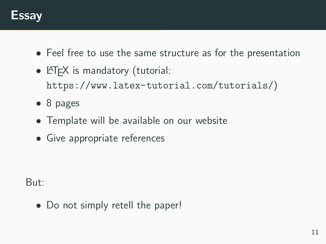

- Feel free to use the same structure as for the presentation
- **LATEX** is mandatory (tutorial: <https://www.latex-tutorial.com/tutorials/>)
- 8 pages
- Template will be available on our website
- Give appropriate references

But:

• Do not simply retell the paper!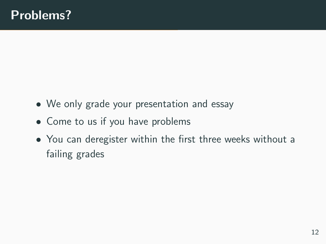- We only grade your presentation and essay
- Come to us if you have problems
- You can deregister within the first three weeks without a failing grades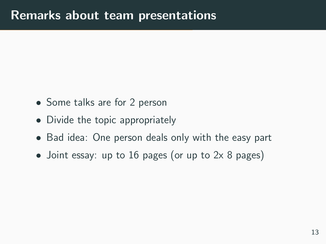- Some talks are for 2 person
- Divide the topic appropriately
- Bad idea: One person deals only with the easy part
- Joint essay: up to 16 pages (or up to 2x 8 pages)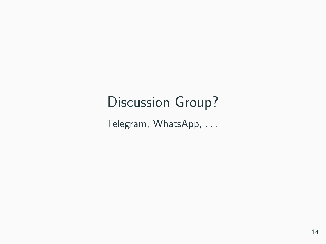### Discussion Group?

Telegram, WhatsApp, . . .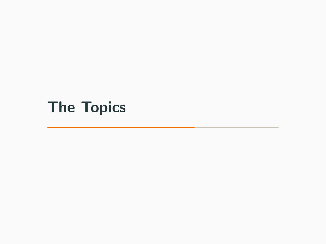# <span id="page-16-0"></span>[The Topics](#page-16-0)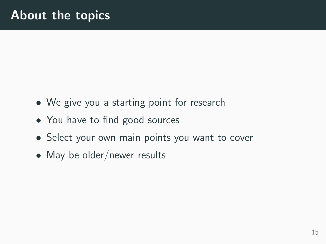- We give you a starting point for research
- You have to find good sources
- Select your own main points you want to cover
- May be older/newer results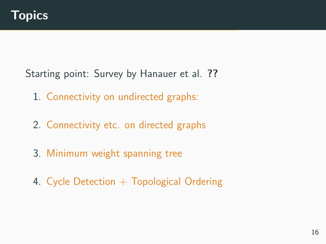Starting point: Survey by Hanauer et al. [??](#page-0-0)

- 1. Connectivity on undirected graphs:
- 2. Connectivity etc. on directed graphs
- 3. Minimum weight spanning tree
- 4. Cycle Detection  $+$  Topological Ordering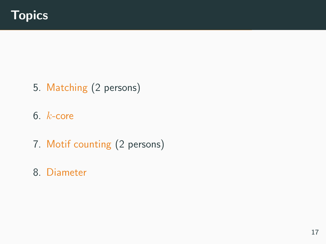- 5. Matching (2 persons)
- 6. k-core
- 7. Motif counting (2 persons)
- 8. Diameter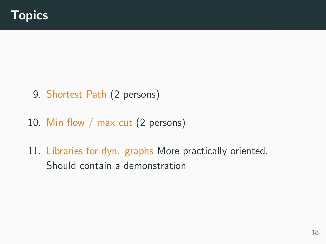- 9. Shortest Path (2 persons)
- 10. Min flow / max cut (2 persons)
- 11. Libraries for dyn. graphs More practically oriented. Should contain a demonstration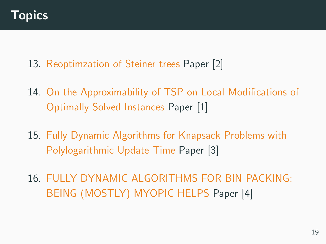- 13. Reoptimzation of Steiner trees Paper [\[2\]](#page-24-0)
- 14. On the Approximability of TSP on Local Modifications of Optimally Solved Instances Paper [\[1\]](#page-24-1)
- 15. Fully Dynamic Algorithms for Knapsack Problems with Polylogarithmic Update Time Paper [\[3\]](#page-25-0)
- 16. FULLY DYNAMIC ALGORITHMS FOR BIN PACKING: BEING (MOSTLY) MYOPIC HELPS Paper [\[4\]](#page-25-1)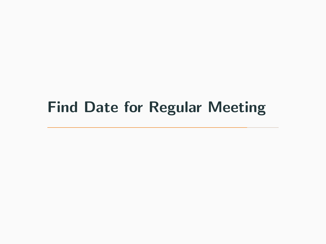# <span id="page-22-0"></span>[Find Date for Regular Meeting](#page-22-0)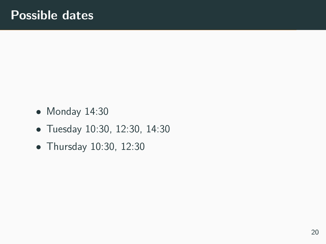- Monday 14:30
- Tuesday 10:30, 12:30, 14:30
- Thursday 10:30, 12:30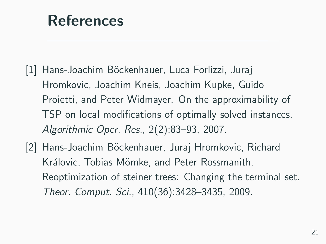<span id="page-24-2"></span>[References](#page-24-2)

- <span id="page-24-1"></span>[1] Hans-Joachim Böckenhauer, Luca Forlizzi, Juraj Hromkovic, Joachim Kneis, Joachim Kupke, Guido Proietti, and Peter Widmayer. On the approximability of TSP on local modifications of optimally solved instances. Algorithmic Oper. Res., 2(2):83–93, 2007.
- <span id="page-24-0"></span>[2] Hans-Joachim Böckenhauer, Juraj Hromkovic, Richard Královic, Tobias Mömke, and Peter Rossmanith. Reoptimization of steiner trees: Changing the terminal set. Theor. Comput. Sci., 410(36):3428–3435, 2009.